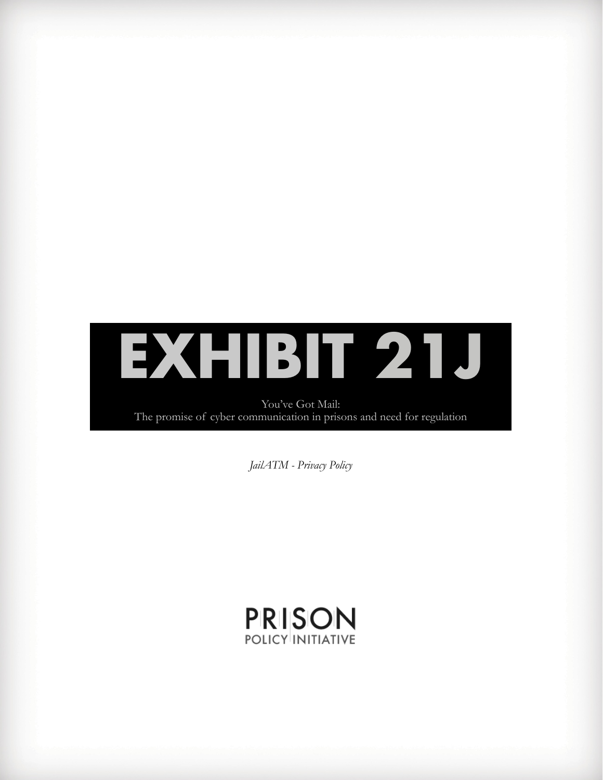

You've Got Mail: The promise of cyber communication in prisons and need for regulation

*JailATM - Privacy Policy*

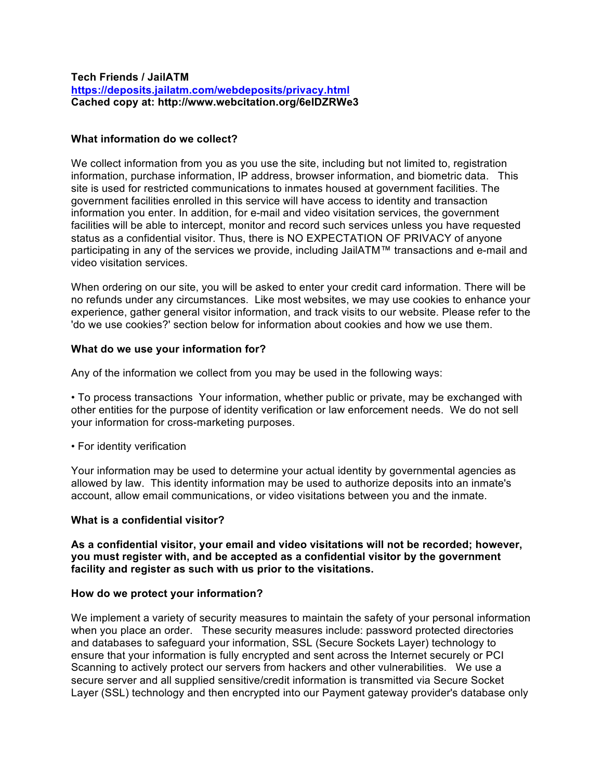#### **Tech Friends / JailATM https://deposits.jailatm.com/webdeposits/privacy.html Cached copy at: http://www.webcitation.org/6eIDZRWe3**

## **What information do we collect?**

We collect information from you as you use the site, including but not limited to, registration information, purchase information, IP address, browser information, and biometric data. This site is used for restricted communications to inmates housed at government facilities. The government facilities enrolled in this service will have access to identity and transaction information you enter. In addition, for e-mail and video visitation services, the government facilities will be able to intercept, monitor and record such services unless you have requested status as a confidential visitor. Thus, there is NO EXPECTATION OF PRIVACY of anyone participating in any of the services we provide, including JailATM™ transactions and e-mail and video visitation services.

When ordering on our site, you will be asked to enter your credit card information. There will be no refunds under any circumstances. Like most websites, we may use cookies to enhance your experience, gather general visitor information, and track visits to our website. Please refer to the 'do we use cookies?' section below for information about cookies and how we use them.

#### **What do we use your information for?**

Any of the information we collect from you may be used in the following ways:

• To process transactions Your information, whether public or private, may be exchanged with other entities for the purpose of identity verification or law enforcement needs. We do not sell your information for cross-marketing purposes.

• For identity verification

Your information may be used to determine your actual identity by governmental agencies as allowed by law. This identity information may be used to authorize deposits into an inmate's account, allow email communications, or video visitations between you and the inmate.

#### **What is a confidential visitor?**

**As a confidential visitor, your email and video visitations will not be recorded; however, you must register with, and be accepted as a confidential visitor by the government facility and register as such with us prior to the visitations.**

#### **How do we protect your information?**

We implement a variety of security measures to maintain the safety of your personal information when you place an order. These security measures include: password protected directories and databases to safeguard your information, SSL (Secure Sockets Layer) technology to ensure that your information is fully encrypted and sent across the Internet securely or PCI Scanning to actively protect our servers from hackers and other vulnerabilities. We use a secure server and all supplied sensitive/credit information is transmitted via Secure Socket Layer (SSL) technology and then encrypted into our Payment gateway provider's database only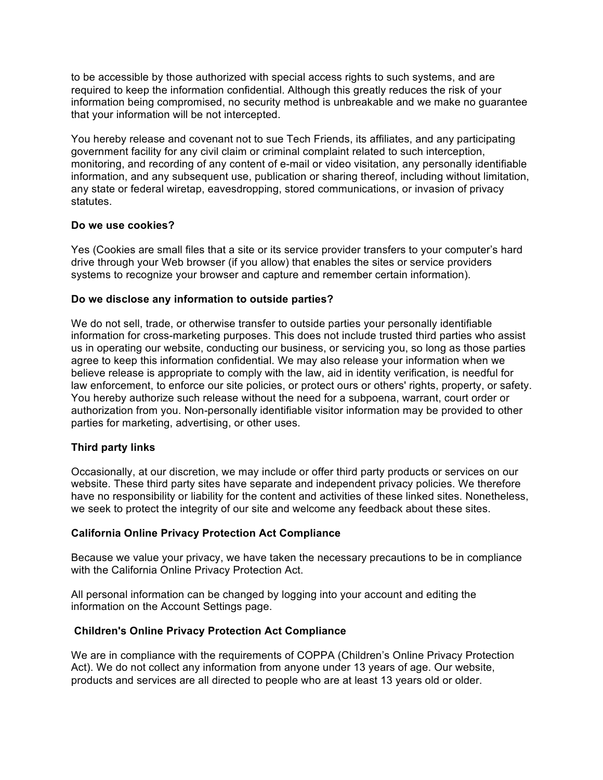to be accessible by those authorized with special access rights to such systems, and are required to keep the information confidential. Although this greatly reduces the risk of your information being compromised, no security method is unbreakable and we make no guarantee that your information will be not intercepted.

You hereby release and covenant not to sue Tech Friends, its affiliates, and any participating government facility for any civil claim or criminal complaint related to such interception, monitoring, and recording of any content of e-mail or video visitation, any personally identifiable information, and any subsequent use, publication or sharing thereof, including without limitation, any state or federal wiretap, eavesdropping, stored communications, or invasion of privacy statutes.

## **Do we use cookies?**

Yes (Cookies are small files that a site or its service provider transfers to your computer's hard drive through your Web browser (if you allow) that enables the sites or service providers systems to recognize your browser and capture and remember certain information).

## **Do we disclose any information to outside parties?**

We do not sell, trade, or otherwise transfer to outside parties your personally identifiable information for cross-marketing purposes. This does not include trusted third parties who assist us in operating our website, conducting our business, or servicing you, so long as those parties agree to keep this information confidential. We may also release your information when we believe release is appropriate to comply with the law, aid in identity verification, is needful for law enforcement, to enforce our site policies, or protect ours or others' rights, property, or safety. You hereby authorize such release without the need for a subpoena, warrant, court order or authorization from you. Non-personally identifiable visitor information may be provided to other parties for marketing, advertising, or other uses.

# **Third party links**

Occasionally, at our discretion, we may include or offer third party products or services on our website. These third party sites have separate and independent privacy policies. We therefore have no responsibility or liability for the content and activities of these linked sites. Nonetheless, we seek to protect the integrity of our site and welcome any feedback about these sites.

#### **California Online Privacy Protection Act Compliance**

Because we value your privacy, we have taken the necessary precautions to be in compliance with the California Online Privacy Protection Act.

All personal information can be changed by logging into your account and editing the information on the Account Settings page.

#### **Children's Online Privacy Protection Act Compliance**

We are in compliance with the requirements of COPPA (Children's Online Privacy Protection Act). We do not collect any information from anyone under 13 years of age. Our website, products and services are all directed to people who are at least 13 years old or older.